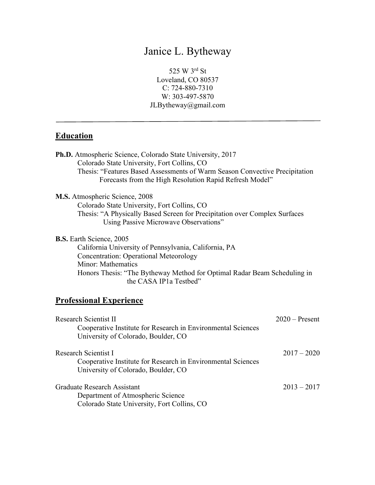# Janice L. Bytheway

525 W 3rd St Loveland, CO 80537 C: 724-880-7310 W: 303-497-5870 JLBytheway@gmail.com

# **Education**

| <b>Ph.D.</b> Atmospheric Science, Colorado State University, 2017<br>Colorado State University, Fort Collins, CO<br>Thesis: "Features Based Assessments of Warm Season Convective Precipitation<br>Forecasts from the High Resolution Rapid Refresh Model"            |                  |
|-----------------------------------------------------------------------------------------------------------------------------------------------------------------------------------------------------------------------------------------------------------------------|------------------|
| M.S. Atmospheric Science, 2008<br>Colorado State University, Fort Collins, CO<br>Thesis: "A Physically Based Screen for Precipitation over Complex Surfaces<br>Using Passive Microwave Observations"                                                                  |                  |
| <b>B.S.</b> Earth Science, 2005<br>California University of Pennsylvania, California, PA<br><b>Concentration: Operational Meteorology</b><br>Minor: Mathematics<br>Honors Thesis: "The Bytheway Method for Optimal Radar Beam Scheduling in<br>the CASA IP1a Testbed" |                  |
| <b>Professional Experience</b>                                                                                                                                                                                                                                        |                  |
| <b>Research Scientist II</b><br>Cooperative Institute for Research in Environmental Sciences<br>University of Colorado, Boulder, CO                                                                                                                                   | $2020$ – Present |

Research Scientist I 2017 – 2020 Cooperative Institute for Research in Environmental Sciences University of Colorado, Boulder, CO

| Graduate Research Assistant                 | $2013 - 2017$ |
|---------------------------------------------|---------------|
| Department of Atmospheric Science           |               |
| Colorado State University, Fort Collins, CO |               |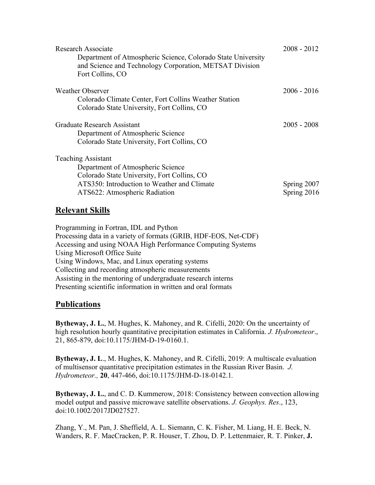| Research Associate<br>Department of Atmospheric Science, Colorado State University<br>and Science and Technology Corporation, METSAT Division<br>Fort Collins, CO                             | $2008 - 2012$              |
|-----------------------------------------------------------------------------------------------------------------------------------------------------------------------------------------------|----------------------------|
| Weather Observer<br>Colorado Climate Center, Fort Collins Weather Station<br>Colorado State University, Fort Collins, CO                                                                      | $2006 - 2016$              |
| Graduate Research Assistant<br>Department of Atmospheric Science<br>Colorado State University, Fort Collins, CO                                                                               | $2005 - 2008$              |
| <b>Teaching Assistant</b><br>Department of Atmospheric Science<br>Colorado State University, Fort Collins, CO<br>ATS350: Introduction to Weather and Climate<br>ATS622: Atmospheric Radiation | Spring 2007<br>Spring 2016 |

# **Relevant Skills**

Programming in Fortran, IDL and Python Processing data in a variety of formats (GRIB, HDF-EOS, Net-CDF) Accessing and using NOAA High Performance Computing Systems Using Microsoft Office Suite Using Windows, Mac, and Linux operating systems Collecting and recording atmospheric measurements Assisting in the mentoring of undergraduate research interns Presenting scientific information in written and oral formats

# **Publications**

**Bytheway, J. L.**, M. Hughes, K. Mahoney, and R. Cifelli, 2020: On the uncertainty of high resolution hourly quantitative precipitation estimates in California. *J. Hydrometeor*., 21, 865-879, doi:10.1175/JHM-D-19-0160.1.

**Bytheway, J. L**., M. Hughes, K. Mahoney, and R. Cifelli, 2019: A multiscale evaluation of multisensor quantitative precipitation estimates in the Russian River Basin. *J. Hydrometeor.,* **20**, 447-466, doi:10.1175/JHM-D-18-0142.1*.*

**Bytheway, J. L.**, and C. D. Kummerow, 2018: Consistency between convection allowing model output and passive microwave satellite observations. *J. Geophys. Res*., 123, doi:10.1002/2017JD027527.

Zhang, Y., M. Pan, J. Sheffield, A. L. Siemann, C. K. Fisher, M. Liang, H. E. Beck, N. Wanders, R. F. MacCracken, P. R. Houser, T. Zhou, D. P. Lettenmaier, R. T. Pinker, **J.**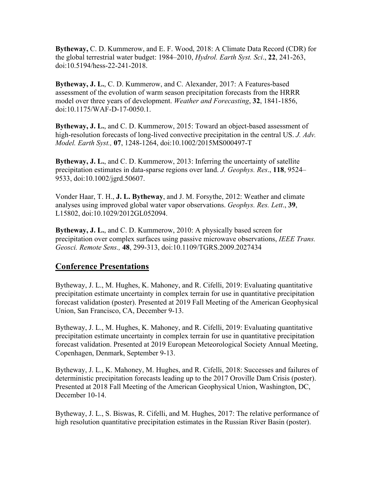**Bytheway,** C. D. Kummerow, and E. F. Wood, 2018: A Climate Data Record (CDR) for the global terrestrial water budget: 1984–2010, *Hydrol. Earth Syst. Sci*., **22**, 241-263, doi:10.5194/hess-22-241-2018.

**Bytheway, J. L.**, C. D. Kummerow, and C. Alexander, 2017: A Features-based assessment of the evolution of warm season precipitation forecasts from the HRRR model over three years of development. *Weather and Forecasting*, **32**, 1841-1856, doi:10.1175/WAF-D-17-0050.1.

**Bytheway, J. L.**, and C. D. Kummerow, 2015: Toward an object-based assessment of high-resolution forecasts of long-lived convective precipitation in the central US. *J. Adv. Model. Earth Syst.,* **07**, 1248-1264, doi:10.1002/2015MS000497-T

**Bytheway, J. L.**, and C. D. Kummerow, 2013: Inferring the uncertainty of satellite precipitation estimates in data-sparse regions over land. *J. Geophys. Res*., **118**, 9524– 9533, doi:10.1002/jgrd.50607.

Vonder Haar, T. H., **J. L. Bytheway**, and J. M. Forsythe, 2012: Weather and climate analyses using improved global water vapor observations. *Geophys. Res. Lett*., **39**, L15802, doi:10.1029/2012GL052094.

**Bytheway, J. L.**, and C. D. Kummerow, 2010: A physically based screen for precipitation over complex surfaces using passive microwave observations, *IEEE Trans. Geosci. Remote Sens.,* **48**, 299-313, doi:10.1109/TGRS.2009.2027434

#### **Conference Presentations**

Bytheway, J. L., M. Hughes, K. Mahoney, and R. Cifelli, 2019: Evaluating quantitative precipitation estimate uncertainty in complex terrain for use in quantitative precipitation forecast validation (poster). Presented at 2019 Fall Meeting of the American Geophysical Union, San Francisco, CA, December 9-13.

Bytheway, J. L., M. Hughes, K. Mahoney, and R. Cifelli, 2019: Evaluating quantitative precipitation estimate uncertainty in complex terrain for use in quantitative precipitation forecast validation. Presented at 2019 European Meteorological Society Annual Meeting, Copenhagen, Denmark, September 9-13.

Bytheway, J. L., K. Mahoney, M. Hughes, and R. Cifelli, 2018: Successes and failures of deterministic precipitation forecasts leading up to the 2017 Oroville Dam Crisis (poster). Presented at 2018 Fall Meeting of the American Geophysical Union, Washington, DC, December 10-14.

Bytheway, J. L., S. Biswas, R. Cifelli, and M. Hughes, 2017: The relative performance of high resolution quantitative precipitation estimates in the Russian River Basin (poster).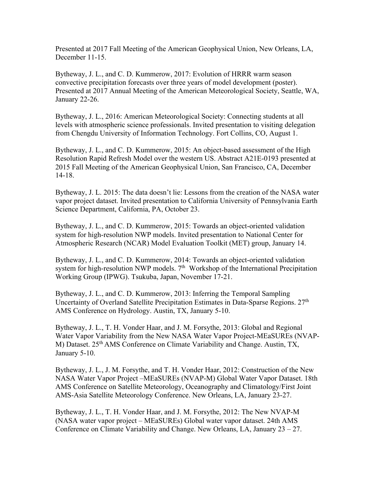Presented at 2017 Fall Meeting of the American Geophysical Union, New Orleans, LA, December 11-15.

Bytheway, J. L., and C. D. Kummerow, 2017: Evolution of HRRR warm season convective precipitation forecasts over three years of model development (poster). Presented at 2017 Annual Meeting of the American Meteorological Society, Seattle, WA, January 22-26.

Bytheway, J. L., 2016: American Meteorological Society: Connecting students at all levels with atmospheric science professionals. Invited presentation to visiting delegation from Chengdu University of Information Technology. Fort Collins, CO, August 1.

Bytheway, J. L., and C. D. Kummerow, 2015: An object-based assessment of the High Resolution Rapid Refresh Model over the western US. Abstract A21E-0193 presented at 2015 Fall Meeting of the American Geophysical Union, San Francisco, CA, December 14-18.

Bytheway, J. L. 2015: The data doesn't lie: Lessons from the creation of the NASA water vapor project dataset. Invited presentation to California University of Pennsylvania Earth Science Department, California, PA, October 23.

Bytheway, J. L., and C. D. Kummerow, 2015: Towards an object-oriented validation system for high-resolution NWP models. Invited presentation to National Center for Atmospheric Research (NCAR) Model Evaluation Toolkit (MET) group, January 14.

Bytheway, J. L., and C. D. Kummerow, 2014: Towards an object-oriented validation system for high-resolution NWP models. 7<sup>th</sup> Workshop of the International Precipitation Working Group (IPWG). Tsukuba, Japan, November 17-21.

Bytheway, J. L., and C. D. Kummerow, 2013: Inferring the Temporal Sampling Uncertainty of Overland Satellite Precipitation Estimates in Data-Sparse Regions. 27<sup>th</sup> AMS Conference on Hydrology. Austin, TX, January 5-10.

Bytheway, J. L., T. H. Vonder Haar, and J. M. Forsythe, 2013: Global and Regional Water Vapor Variability from the New NASA Water Vapor Project-MEaSUREs (NVAP-M) Dataset. 25th AMS Conference on Climate Variability and Change. Austin, TX, January 5-10.

Bytheway, J. L., J. M. Forsythe, and T. H. Vonder Haar, 2012: Construction of the New NASA Water Vapor Project –MEaSUREs (NVAP-M) Global Water Vapor Dataset. 18th AMS Conference on Satellite Meteorology, Oceanography and Climatology/First Joint AMS-Asia Satellite Meteorology Conference. New Orleans, LA, January 23-27.

Bytheway, J. L., T. H. Vonder Haar, and J. M. Forsythe, 2012: The New NVAP-M (NASA water vapor project – MEaSUREs) Global water vapor dataset. 24th AMS Conference on Climate Variability and Change. New Orleans, LA, January 23 – 27.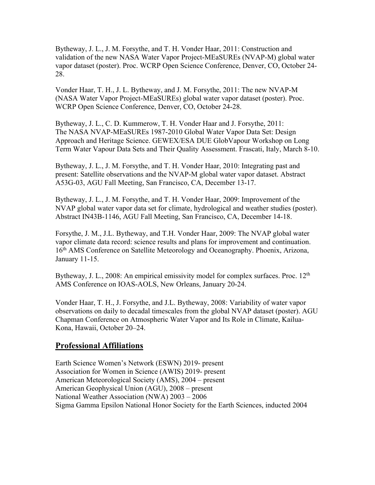Bytheway, J. L., J. M. Forsythe, and T. H. Vonder Haar, 2011: Construction and validation of the new NASA Water Vapor Project-MEaSUREs (NVAP-M) global water vapor dataset (poster). Proc. WCRP Open Science Conference, Denver, CO, October 24- 28.

Vonder Haar, T. H., J. L. Bytheway, and J. M. Forsythe, 2011: The new NVAP-M (NASA Water Vapor Project-MEaSUREs) global water vapor dataset (poster). Proc. WCRP Open Science Conference, Denver, CO, October 24-28.

Bytheway, J. L., C. D. Kummerow, T. H. Vonder Haar and J. Forsythe, 2011: The NASA NVAP-MEaSUREs 1987-2010 Global Water Vapor Data Set: Design Approach and Heritage Science. GEWEX/ESA DUE GlobVapour Workshop on Long Term Water Vapour Data Sets and Their Quality Assessment. Frascati, Italy, March 8-10.

Bytheway, J. L., J. M. Forsythe, and T. H. Vonder Haar, 2010: Integrating past and present: Satellite observations and the NVAP-M global water vapor dataset. Abstract A53G-03, AGU Fall Meeting, San Francisco, CA, December 13-17.

Bytheway, J. L., J. M. Forsythe, and T. H. Vonder Haar, 2009: Improvement of the NVAP global water vapor data set for climate, hydrological and weather studies (poster). Abstract IN43B-1146, AGU Fall Meeting, San Francisco, CA, December 14-18.

Forsythe, J. M., J.L. Bytheway, and T.H. Vonder Haar, 2009: The NVAP global water vapor climate data record: science results and plans for improvement and continuation. 16th AMS Conference on Satellite Meteorology and Oceanography. Phoenix, Arizona, January 11-15.

Bytheway, J. L., 2008: An empirical emissivity model for complex surfaces. Proc. 12<sup>th</sup> AMS Conference on IOAS-AOLS, New Orleans, January 20-24.

Vonder Haar, T. H., J. Forsythe, and J.L. Bytheway, 2008: Variability of water vapor observations on daily to decadal timescales from the global NVAP dataset (poster). AGU Chapman Conference on Atmospheric Water Vapor and Its Role in Climate, Kailua-Kona, Hawaii, October 20–24.

#### **Professional Affiliations**

Earth Science Women's Network (ESWN) 2019- present Association for Women in Science (AWIS) 2019- present American Meteorological Society (AMS), 2004 – present American Geophysical Union (AGU), 2008 – present National Weather Association (NWA) 2003 – 2006 Sigma Gamma Epsilon National Honor Society for the Earth Sciences, inducted 2004